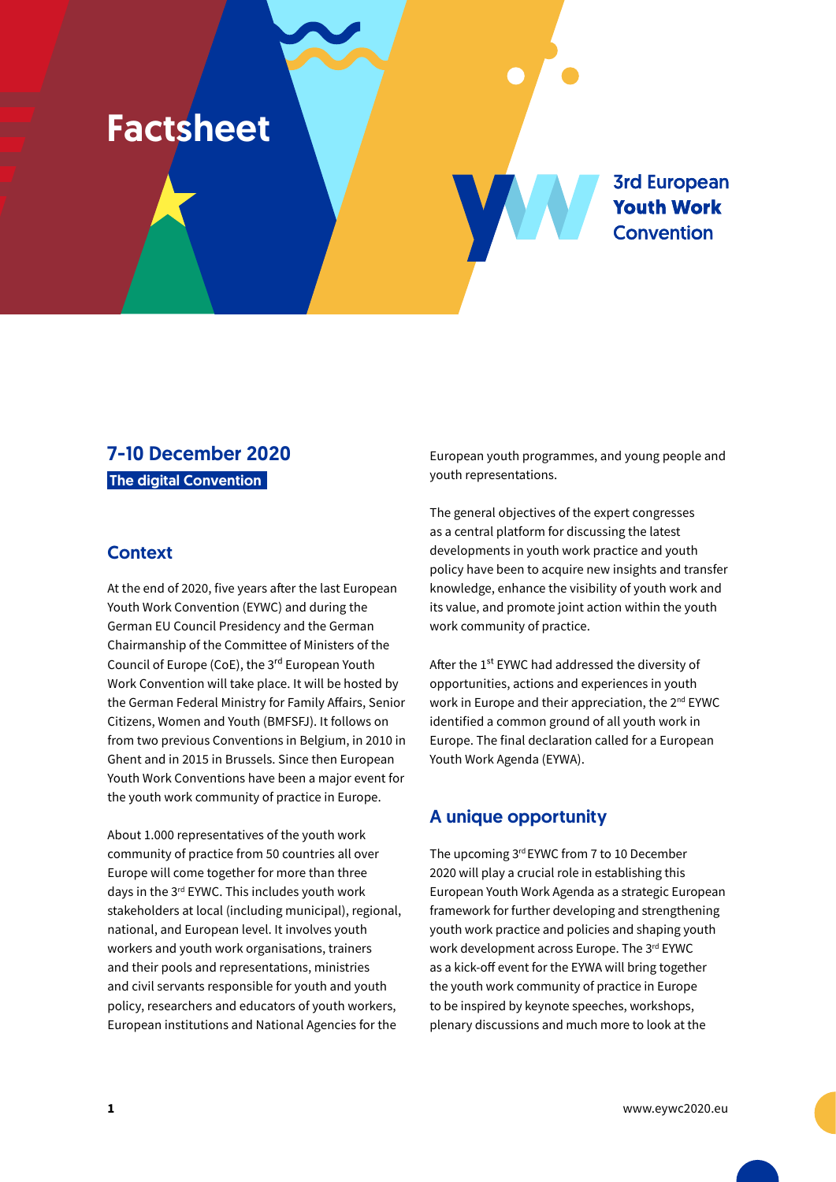# Factsheet

**3rd European Youth Work Convention** 

## 7-10 December 2020 The digital Convention

#### **Context**

At the end of 2020, five years after the last European Youth Work Convention (EYWC) and during the German EU Council Presidency and the German Chairmanship of the Committee of Ministers of the Council of Europe (CoE), the 3rd European Youth Work Convention will take place. It will be hosted by the German Federal Ministry for Family Affairs, Senior Citizens, Women and Youth (BMFSFJ). It follows on from two previous Conventions in Belgium, in 2010 in Ghent and in 2015 in Brussels. Since then European Youth Work Conventions have been a major event for the youth work community of practice in Europe.

About 1.000 representatives of the youth work community of practice from 50 countries all over Europe will come together for more than three days in the 3rd EYWC. This includes youth work stakeholders at local (including municipal), regional, national, and European level. It involves youth workers and youth work organisations, trainers and their pools and representations, ministries and civil servants responsible for youth and youth policy, researchers and educators of youth workers, European institutions and National Agencies for the

European youth programmes, and young people and youth representations.

The general objectives of the expert congresses as a central platform for discussing the latest developments in youth work practice and youth policy have been to acquire new insights and transfer knowledge, enhance the visibility of youth work and its value, and promote joint action within the youth work community of practice.

After the 1<sup>st</sup> EYWC had addressed the diversity of opportunities, actions and experiences in youth work in Europe and their appreciation, the 2<sup>nd</sup> EYWC identified a common ground of all youth work in Europe. The final declaration called for a European Youth Work Agenda (EYWA).

### A unique opportunity

The upcoming 3rd EYWC from 7 to 10 December 2020 will play a crucial role in establishing this European Youth Work Agenda as a strategic European framework for further developing and strengthening youth work practice and policies and shaping youth work development across Europe. The 3rd EYWC as a kick-off event for the EYWA will bring together the youth work community of practice in Europe to be inspired by keynote speeches, workshops, plenary discussions and much more to look at the